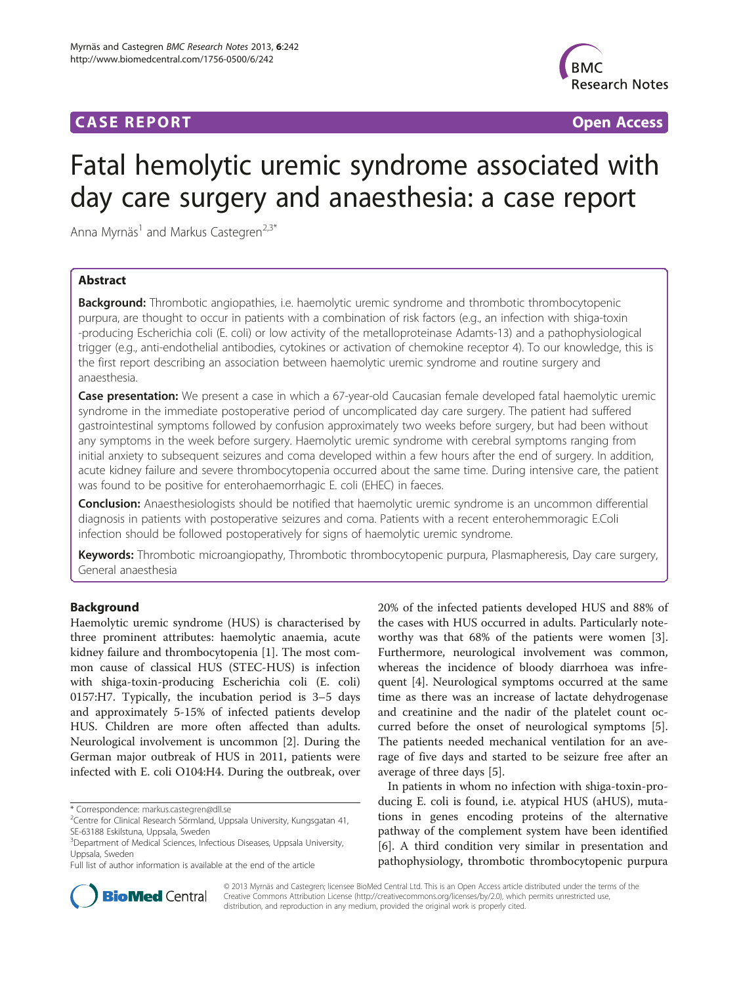## **CASE REPORT CASE REPORT CASE REPORT**



# Fatal hemolytic uremic syndrome associated with day care surgery and anaesthesia: a case report

Anna Myrnäs<sup>1</sup> and Markus Castegren<sup>2,3\*</sup>

## Abstract

Background: Thrombotic angiopathies, i.e. haemolytic uremic syndrome and thrombotic thrombocytopenic purpura, are thought to occur in patients with a combination of risk factors (e.g., an infection with shiga-toxin -producing Escherichia coli (E. coli) or low activity of the metalloproteinase Adamts-13) and a pathophysiological trigger (e.g., anti-endothelial antibodies, cytokines or activation of chemokine receptor 4). To our knowledge, this is the first report describing an association between haemolytic uremic syndrome and routine surgery and anaesthesia.

Case presentation: We present a case in which a 67-year-old Caucasian female developed fatal haemolytic uremic syndrome in the immediate postoperative period of uncomplicated day care surgery. The patient had suffered gastrointestinal symptoms followed by confusion approximately two weeks before surgery, but had been without any symptoms in the week before surgery. Haemolytic uremic syndrome with cerebral symptoms ranging from initial anxiety to subsequent seizures and coma developed within a few hours after the end of surgery. In addition, acute kidney failure and severe thrombocytopenia occurred about the same time. During intensive care, the patient was found to be positive for enterohaemorrhagic E. coli (EHEC) in faeces.

Conclusion: Anaesthesiologists should be notified that haemolytic uremic syndrome is an uncommon differential diagnosis in patients with postoperative seizures and coma. Patients with a recent enterohemmoragic E.Coli infection should be followed postoperatively for signs of haemolytic uremic syndrome.

Keywords: Thrombotic microangiopathy, Thrombotic thrombocytopenic purpura, Plasmapheresis, Day care surgery, General anaesthesia

## **Background**

Haemolytic uremic syndrome (HUS) is characterised by three prominent attributes: haemolytic anaemia, acute kidney failure and thrombocytopenia [[1\]](#page-3-0). The most common cause of classical HUS (STEC-HUS) is infection with shiga-toxin-producing Escherichia coli (E. coli) 0157:H7. Typically, the incubation period is 3–5 days and approximately 5-15% of infected patients develop HUS. Children are more often affected than adults. Neurological involvement is uncommon [\[2\]](#page-3-0). During the German major outbreak of HUS in 2011, patients were infected with E. coli O104:H4. During the outbreak, over

\* Correspondence: [markus.castegren@dll.se](mailto:markus.castegren@dll.se) <sup>2</sup>

20% of the infected patients developed HUS and 88% of the cases with HUS occurred in adults. Particularly noteworthy was that 68% of the patients were women [\[3](#page-3-0)]. Furthermore, neurological involvement was common, whereas the incidence of bloody diarrhoea was infrequent [\[4\]](#page-3-0). Neurological symptoms occurred at the same time as there was an increase of lactate dehydrogenase and creatinine and the nadir of the platelet count occurred before the onset of neurological symptoms [\[5](#page-3-0)]. The patients needed mechanical ventilation for an average of five days and started to be seizure free after an average of three days [[5\]](#page-3-0).

In patients in whom no infection with shiga-toxin-producing E. coli is found, i.e. atypical HUS (aHUS), mutations in genes encoding proteins of the alternative pathway of the complement system have been identified [[6\]](#page-3-0). A third condition very similar in presentation and pathophysiology, thrombotic thrombocytopenic purpura



© 2013 Myrnäs and Castegren; licensee BioMed Central Ltd. This is an Open Access article distributed under the terms of the Creative Commons Attribution License (<http://creativecommons.org/licenses/by/2.0>), which permits unrestricted use, distribution, and reproduction in any medium, provided the original work is properly cited.

<sup>&</sup>lt;sup>2</sup>Centre for Clinical Research Sörmland, Uppsala University, Kungsgatan 41, SE-63188 Eskilstuna, Uppsala, Sweden

<sup>&</sup>lt;sup>3</sup>Department of Medical Sciences, Infectious Diseases, Uppsala University, Uppsala, Sweden

Full list of author information is available at the end of the article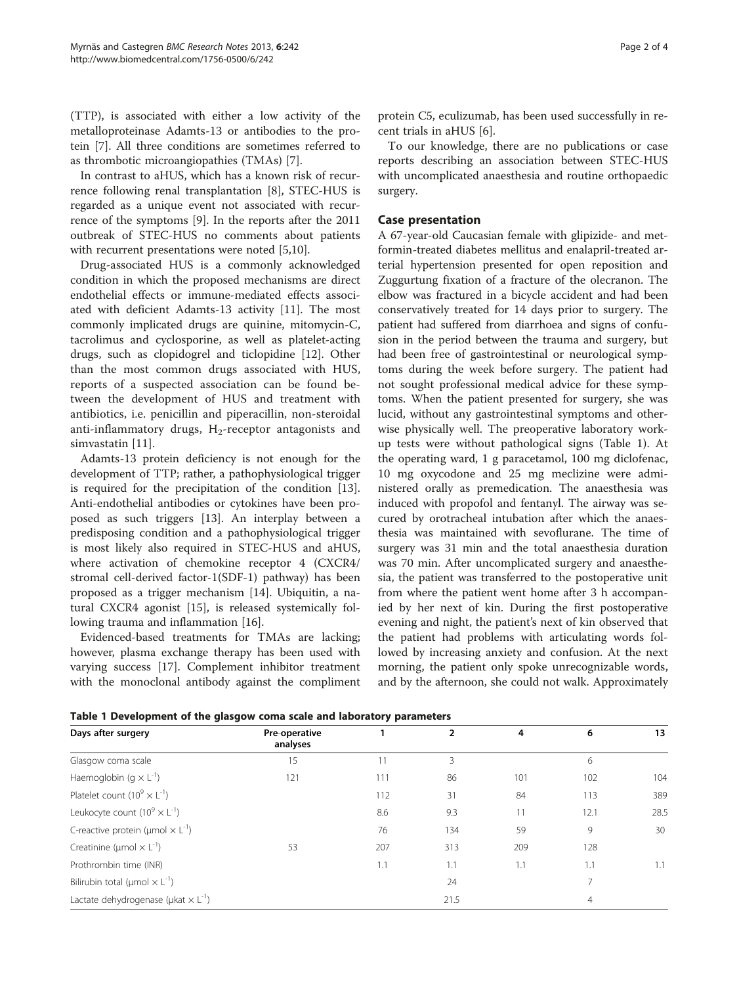<span id="page-1-0"></span>(TTP), is associated with either a low activity of the metalloproteinase Adamts-13 or antibodies to the protein [\[7](#page-3-0)]. All three conditions are sometimes referred to as thrombotic microangiopathies (TMAs) [[7\]](#page-3-0).

In contrast to aHUS, which has a known risk of recurrence following renal transplantation [[8\]](#page-3-0), STEC-HUS is regarded as a unique event not associated with recurrence of the symptoms [\[9](#page-3-0)]. In the reports after the 2011 outbreak of STEC-HUS no comments about patients with recurrent presentations were noted [[5,10\]](#page-3-0).

Drug-associated HUS is a commonly acknowledged condition in which the proposed mechanisms are direct endothelial effects or immune-mediated effects associated with deficient Adamts-13 activity [\[11\]](#page-3-0). The most commonly implicated drugs are quinine, mitomycin-C, tacrolimus and cyclosporine, as well as platelet-acting drugs, such as clopidogrel and ticlopidine [\[12\]](#page-3-0). Other than the most common drugs associated with HUS, reports of a suspected association can be found between the development of HUS and treatment with antibiotics, i.e. penicillin and piperacillin, non-steroidal anti-inflammatory drugs,  $H_2$ -receptor antagonists and simvastatin [[11\]](#page-3-0).

Adamts-13 protein deficiency is not enough for the development of TTP; rather, a pathophysiological trigger is required for the precipitation of the condition [\[13](#page-3-0)]. Anti-endothelial antibodies or cytokines have been proposed as such triggers [\[13](#page-3-0)]. An interplay between a predisposing condition and a pathophysiological trigger is most likely also required in STEC-HUS and aHUS, where activation of chemokine receptor 4 (CXCR4/ stromal cell-derived factor-1(SDF-1) pathway) has been proposed as a trigger mechanism [\[14\]](#page-3-0). Ubiquitin, a natural CXCR4 agonist [[15\]](#page-3-0), is released systemically following trauma and inflammation [[16\]](#page-3-0).

Evidenced-based treatments for TMAs are lacking; however, plasma exchange therapy has been used with varying success [\[17](#page-3-0)]. Complement inhibitor treatment with the monoclonal antibody against the compliment

protein C5, eculizumab, has been used successfully in recent trials in aHUS [\[6](#page-3-0)].

To our knowledge, there are no publications or case reports describing an association between STEC-HUS with uncomplicated anaesthesia and routine orthopaedic surgery.

## Case presentation

A 67-year-old Caucasian female with glipizide- and metformin-treated diabetes mellitus and enalapril-treated arterial hypertension presented for open reposition and Zuggurtung fixation of a fracture of the olecranon. The elbow was fractured in a bicycle accident and had been conservatively treated for 14 days prior to surgery. The patient had suffered from diarrhoea and signs of confusion in the period between the trauma and surgery, but had been free of gastrointestinal or neurological symptoms during the week before surgery. The patient had not sought professional medical advice for these symptoms. When the patient presented for surgery, she was lucid, without any gastrointestinal symptoms and otherwise physically well. The preoperative laboratory workup tests were without pathological signs (Table 1). At the operating ward, 1 g paracetamol, 100 mg diclofenac, 10 mg oxycodone and 25 mg meclizine were administered orally as premedication. The anaesthesia was induced with propofol and fentanyl. The airway was secured by orotracheal intubation after which the anaesthesia was maintained with sevoflurane. The time of surgery was 31 min and the total anaesthesia duration was 70 min. After uncomplicated surgery and anaesthesia, the patient was transferred to the postoperative unit from where the patient went home after 3 h accompanied by her next of kin. During the first postoperative evening and night, the patient's next of kin observed that the patient had problems with articulating words followed by increasing anxiety and confusion. At the next morning, the patient only spoke unrecognizable words, and by the afternoon, she could not walk. Approximately

| Days after surgery                                           | Pre-operative<br>analyses |     | $\overline{2}$ | 4   | 6    | 13   |
|--------------------------------------------------------------|---------------------------|-----|----------------|-----|------|------|
| Glasgow coma scale                                           | 15                        |     | 3              |     | 6    |      |
| Haemoglobin (g $\times$ L <sup>-1</sup> )                    | 121                       | 111 | 86             | 101 | 102  | 104  |
| Platelet count $(10^9 \times L^{-1})$                        |                           | 112 | 31             | 84  | 113  | 389  |
| Leukocyte count $(10^9 \times L^{-1})$                       |                           | 8.6 | 9.3            | 11  | 12.1 | 28.5 |
| C-reactive protein ( $\mu$ mol $\times$ L <sup>-1</sup> )    |                           | 76  | 134            | 59  | 9    | 30   |
| Creatinine ( $\mu$ mol $\times$ L <sup>-1</sup> )            | 53                        | 207 | 313            | 209 | 128  |      |
| Prothrombin time (INR)                                       |                           | 1.1 | 1.1            | 1.1 | 1.1  | 1.1  |
| Bilirubin total ( $\mu$ mol $\times$ L <sup>-1</sup> )       |                           |     | 24             |     |      |      |
| Lactate dehydrogenase ( $\mu$ kat $\times$ L <sup>-1</sup> ) |                           |     | 21.5           |     | 4    |      |

Table 1 Development of the glasgow coma scale and laboratory parameters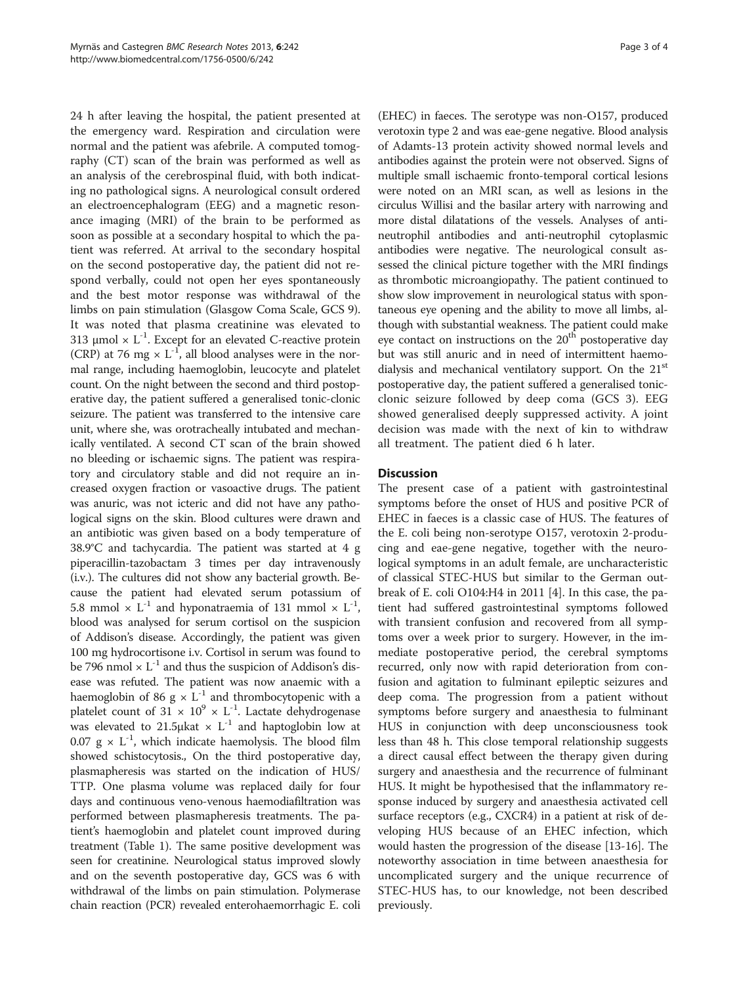24 h after leaving the hospital, the patient presented at the emergency ward. Respiration and circulation were normal and the patient was afebrile. A computed tomography (CT) scan of the brain was performed as well as an analysis of the cerebrospinal fluid, with both indicating no pathological signs. A neurological consult ordered an electroencephalogram (EEG) and a magnetic resonance imaging (MRI) of the brain to be performed as soon as possible at a secondary hospital to which the patient was referred. At arrival to the secondary hospital on the second postoperative day, the patient did not respond verbally, could not open her eyes spontaneously and the best motor response was withdrawal of the limbs on pain stimulation (Glasgow Coma Scale, GCS 9). It was noted that plasma creatinine was elevated to 313  $\mu$ mol × L<sup>-1</sup>. Except for an elevated C-reactive protein (CRP) at 76 mg  $\times$  L<sup>-1</sup>, all blood analyses were in the normal range, including haemoglobin, leucocyte and platelet count. On the night between the second and third postoperative day, the patient suffered a generalised tonic-clonic seizure. The patient was transferred to the intensive care unit, where she, was orotracheally intubated and mechanically ventilated. A second CT scan of the brain showed no bleeding or ischaemic signs. The patient was respiratory and circulatory stable and did not require an increased oxygen fraction or vasoactive drugs. The patient was anuric, was not icteric and did not have any pathological signs on the skin. Blood cultures were drawn and an antibiotic was given based on a body temperature of 38.9°C and tachycardia. The patient was started at 4 g piperacillin-tazobactam 3 times per day intravenously (i.v.). The cultures did not show any bacterial growth. Because the patient had elevated serum potassium of 5.8 mmol  $\times$  L<sup>-1</sup> and hyponatraemia of 131 mmol  $\times$  L<sup>-1</sup>, blood was analysed for serum cortisol on the suspicion of Addison's disease. Accordingly, the patient was given 100 mg hydrocortisone i.v. Cortisol in serum was found to be 796 nmol  $\times$  L<sup>-1</sup> and thus the suspicion of Addison's disease was refuted. The patient was now anaemic with a haemoglobin of 86 g  $\times$  L<sup>-1</sup> and thrombocytopenic with a platelet count of 31  $\times$  10<sup>9</sup>  $\times$  L<sup>-1</sup>. Lactate dehydrogenase was elevated to 21.5μkat  $\times$  L<sup>-1</sup> and haptoglobin low at 0.07  $g \times L^{-1}$ , which indicate haemolysis. The blood film showed schistocytosis., On the third postoperative day, plasmapheresis was started on the indication of HUS/ TTP. One plasma volume was replaced daily for four days and continuous veno-venous haemodiafiltration was performed between plasmapheresis treatments. The patient's haemoglobin and platelet count improved during treatment (Table [1](#page-1-0)). The same positive development was seen for creatinine. Neurological status improved slowly and on the seventh postoperative day, GCS was 6 with withdrawal of the limbs on pain stimulation. Polymerase chain reaction (PCR) revealed enterohaemorrhagic E. coli

(EHEC) in faeces. The serotype was non-O157, produced verotoxin type 2 and was eae-gene negative. Blood analysis of Adamts-13 protein activity showed normal levels and antibodies against the protein were not observed. Signs of multiple small ischaemic fronto-temporal cortical lesions were noted on an MRI scan, as well as lesions in the circulus Willisi and the basilar artery with narrowing and more distal dilatations of the vessels. Analyses of antineutrophil antibodies and anti-neutrophil cytoplasmic antibodies were negative. The neurological consult assessed the clinical picture together with the MRI findings as thrombotic microangiopathy. The patient continued to show slow improvement in neurological status with spontaneous eye opening and the ability to move all limbs, although with substantial weakness. The patient could make eye contact on instructions on the  $20<sup>th</sup>$  postoperative day but was still anuric and in need of intermittent haemodialysis and mechanical ventilatory support. On the 21<sup>st</sup> postoperative day, the patient suffered a generalised tonicclonic seizure followed by deep coma (GCS 3). EEG showed generalised deeply suppressed activity. A joint decision was made with the next of kin to withdraw all treatment. The patient died 6 h later.

## **Discussion**

The present case of a patient with gastrointestinal symptoms before the onset of HUS and positive PCR of EHEC in faeces is a classic case of HUS. The features of the E. coli being non-serotype O157, verotoxin 2-producing and eae-gene negative, together with the neurological symptoms in an adult female, are uncharacteristic of classical STEC-HUS but similar to the German outbreak of E. coli O104:H4 in 2011 [\[4](#page-3-0)]. In this case, the patient had suffered gastrointestinal symptoms followed with transient confusion and recovered from all symptoms over a week prior to surgery. However, in the immediate postoperative period, the cerebral symptoms recurred, only now with rapid deterioration from confusion and agitation to fulminant epileptic seizures and deep coma. The progression from a patient without symptoms before surgery and anaesthesia to fulminant HUS in conjunction with deep unconsciousness took less than 48 h. This close temporal relationship suggests a direct causal effect between the therapy given during surgery and anaesthesia and the recurrence of fulminant HUS. It might be hypothesised that the inflammatory response induced by surgery and anaesthesia activated cell surface receptors (e.g., CXCR4) in a patient at risk of developing HUS because of an EHEC infection, which would hasten the progression of the disease [[13-16](#page-3-0)]. The noteworthy association in time between anaesthesia for uncomplicated surgery and the unique recurrence of STEC-HUS has, to our knowledge, not been described previously.